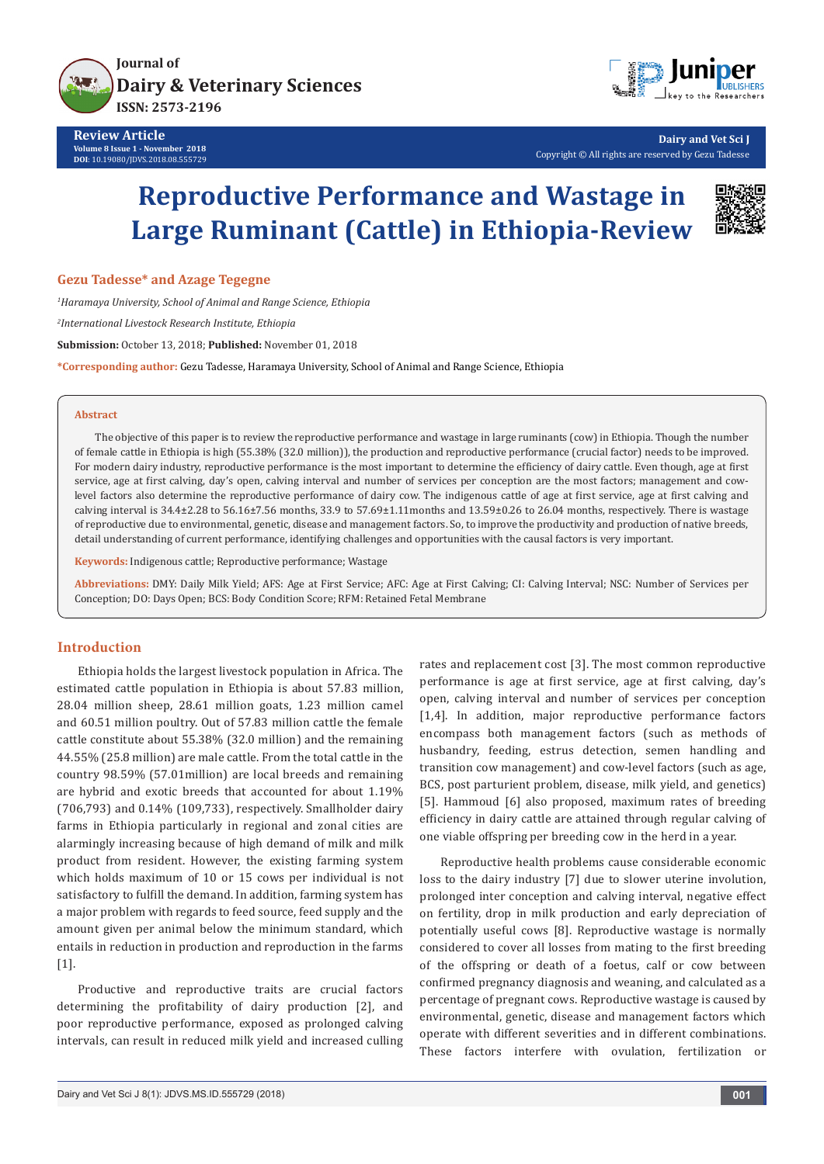



**Dairy and Vet Sci J** Copyright © All rights are reserved by Gezu Tadesse

# **Reproductive Performance and Wastage in Large Ruminant (Cattle) in Ethiopia-Review**



**Gezu Tadesse\* and Azage Tegegne**

*1 Haramaya University, School of Animal and Range Science, Ethiopia 2 International Livestock Research Institute, Ethiopia* **Submission:** October 13, 2018; **Published:** November 01, 2018 **\*Corresponding author:** Gezu Tadesse, Haramaya University, School of Animal and Range Science, Ethiopia

#### **Abstract**

The objective of this paper is to review the reproductive performance and wastage in large ruminants (cow) in Ethiopia. Though the number of female cattle in Ethiopia is high (55.38% (32.0 million)), the production and reproductive performance (crucial factor) needs to be improved. For modern dairy industry, reproductive performance is the most important to determine the efficiency of dairy cattle. Even though, age at first service, age at first calving, day's open, calving interval and number of services per conception are the most factors; management and cowlevel factors also determine the reproductive performance of dairy cow. The indigenous cattle of age at first service, age at first calving and calving interval is 34.4±2.28 to 56.16±7.56 months, 33.9 to 57.69±1.11months and 13.59±0.26 to 26.04 months, respectively. There is wastage of reproductive due to environmental, genetic, disease and management factors. So, to improve the productivity and production of native breeds, detail understanding of current performance, identifying challenges and opportunities with the causal factors is very important.

**Keywords:** Indigenous cattle; Reproductive performance; Wastage

**Abbreviations:** DMY: Daily Milk Yield; AFS: Age at First Service; AFC: Age at First Calving; CI: Calving Interval; NSC: Number of Services per Conception; DO: Days Open; BCS: Body Condition Score; RFM: Retained Fetal Membrane

## **Introduction**

Ethiopia holds the largest livestock population in Africa. The estimated cattle population in Ethiopia is about 57.83 million, 28.04 million sheep, 28.61 million goats, 1.23 million camel and 60.51 million poultry. Out of 57.83 million cattle the female cattle constitute about 55.38% (32.0 million) and the remaining 44.55% (25.8 million) are male cattle. From the total cattle in the country 98.59% (57.01million) are local breeds and remaining are hybrid and exotic breeds that accounted for about 1.19% (706,793) and 0.14% (109,733), respectively. Smallholder dairy farms in Ethiopia particularly in regional and zonal cities are alarmingly increasing because of high demand of milk and milk product from resident. However, the existing farming system which holds maximum of 10 or 15 cows per individual is not satisfactory to fulfill the demand. In addition, farming system has a major problem with regards to feed source, feed supply and the amount given per animal below the minimum standard, which entails in reduction in production and reproduction in the farms  $[1]$ .

Productive and reproductive traits are crucial factors determining the profitability of dairy production [2], and poor reproductive performance, exposed as prolonged calving intervals, can result in reduced milk yield and increased culling rates and replacement cost [3]. The most common reproductive performance is age at first service, age at first calving, day's open, calving interval and number of services per conception [1,4]. In addition, major reproductive performance factors encompass both management factors (such as methods of husbandry, feeding, estrus detection, semen handling and transition cow management) and cow-level factors (such as age, BCS, post parturient problem, disease, milk yield, and genetics) [5]. Hammoud [6] also proposed, maximum rates of breeding efficiency in dairy cattle are attained through regular calving of one viable offspring per breeding cow in the herd in a year.

Reproductive health problems cause considerable economic loss to the dairy industry [7] due to slower uterine involution, prolonged inter conception and calving interval, negative effect on fertility, drop in milk production and early depreciation of potentially useful cows [8]. Reproductive wastage is normally considered to cover all losses from mating to the first breeding of the offspring or death of a foetus, calf or cow between confirmed pregnancy diagnosis and weaning, and calculated as a percentage of pregnant cows. Reproductive wastage is caused by environmental, genetic, disease and management factors which operate with different severities and in different combinations. These factors interfere with ovulation, fertilization or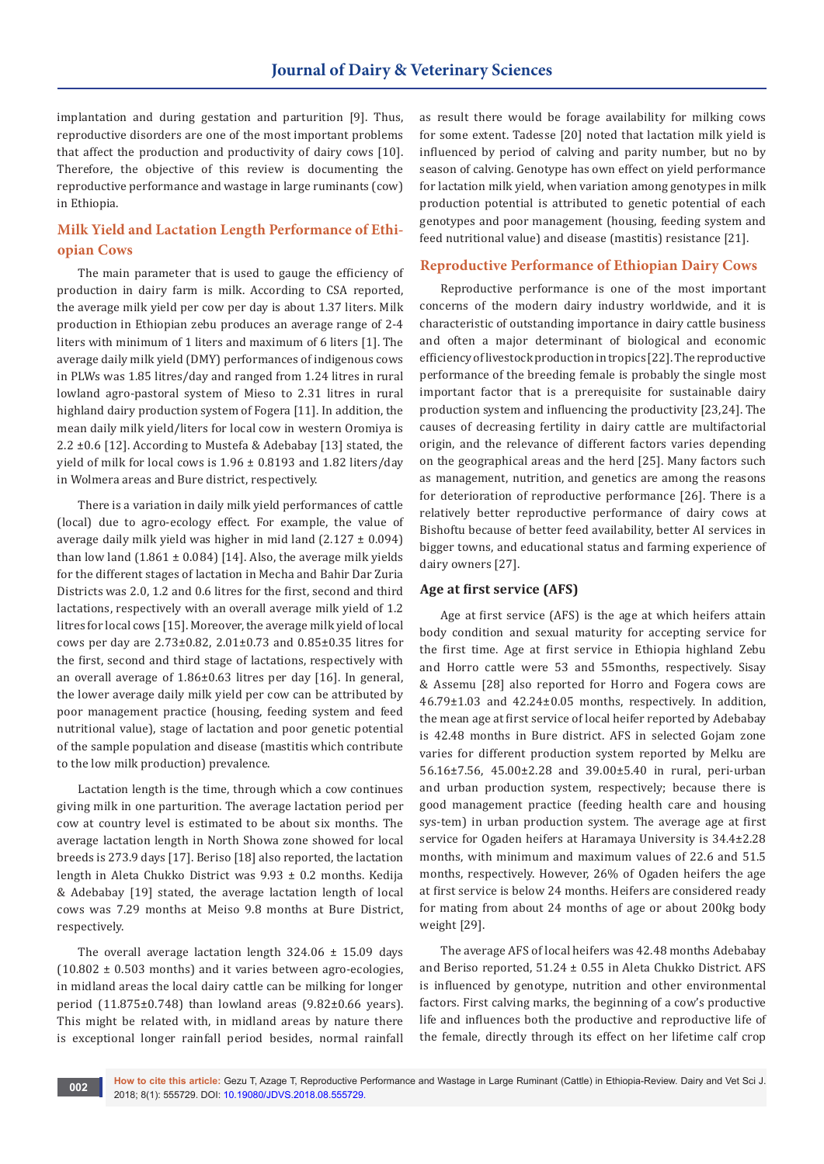implantation and during gestation and parturition [9]. Thus, reproductive disorders are one of the most important problems that affect the production and productivity of dairy cows [10]. Therefore, the objective of this review is documenting the reproductive performance and wastage in large ruminants (cow) in Ethiopia.

# **Milk Yield and Lactation Length Performance of Ethiopian Cows**

The main parameter that is used to gauge the efficiency of production in dairy farm is milk. According to CSA reported, the average milk yield per cow per day is about 1.37 liters. Milk production in Ethiopian zebu produces an average range of 2-4 liters with minimum of 1 liters and maximum of 6 liters [1]. The average daily milk yield (DMY) performances of indigenous cows in PLWs was 1.85 litres/day and ranged from 1.24 litres in rural lowland agro-pastoral system of Mieso to 2.31 litres in rural highland dairy production system of Fogera [11]. In addition, the mean daily milk yield/liters for local cow in western Oromiya is 2.2 ±0.6 [12]. According to Mustefa & Adebabay [13] stated, the yield of milk for local cows is 1.96 ± 0.8193 and 1.82 liters/day in Wolmera areas and Bure district, respectively.

There is a variation in daily milk yield performances of cattle (local) due to agro-ecology effect. For example, the value of average daily milk yield was higher in mid land  $(2.127 \pm 0.094)$ than low land  $(1.861 \pm 0.084)$  [14]. Also, the average milk yields for the different stages of lactation in Mecha and Bahir Dar Zuria Districts was 2.0, 1.2 and 0.6 litres for the first, second and third lactations, respectively with an overall average milk yield of 1.2 litres for local cows [15]. Moreover, the average milk yield of local cows per day are 2.73±0.82, 2.01±0.73 and 0.85±0.35 litres for the first, second and third stage of lactations, respectively with an overall average of 1.86±0.63 litres per day [16]. In general, the lower average daily milk yield per cow can be attributed by poor management practice (housing, feeding system and feed nutritional value), stage of lactation and poor genetic potential of the sample population and disease (mastitis which contribute to the low milk production) prevalence.

Lactation length is the time, through which a cow continues giving milk in one parturition. The average lactation period per cow at country level is estimated to be about six months. The average lactation length in North Showa zone showed for local breeds is 273.9 days [17]. Beriso [18] also reported, the lactation length in Aleta Chukko District was 9.93 ± 0.2 months. Kedija & Adebabay [19] stated, the average lactation length of local cows was 7.29 months at Meiso 9.8 months at Bure District, respectively.

The overall average lactation length  $324.06 \pm 15.09$  days  $(10.802 \pm 0.503$  months) and it varies between agro-ecologies, in midland areas the local dairy cattle can be milking for longer period  $(11.875\pm0.748)$  than lowland areas  $(9.82\pm0.66$  years). This might be related with, in midland areas by nature there is exceptional longer rainfall period besides, normal rainfall

as result there would be forage availability for milking cows for some extent. Tadesse [20] noted that lactation milk yield is influenced by period of calving and parity number, but no by season of calving. Genotype has own effect on yield performance for lactation milk yield, when variation among genotypes in milk production potential is attributed to genetic potential of each genotypes and poor management (housing, feeding system and feed nutritional value) and disease (mastitis) resistance [21].

## **Reproductive Performance of Ethiopian Dairy Cows**

Reproductive performance is one of the most important concerns of the modern dairy industry worldwide, and it is characteristic of outstanding importance in dairy cattle business and often a major determinant of biological and economic efficiency of livestock production in tropics [22]. The reproductive performance of the breeding female is probably the single most important factor that is a prerequisite for sustainable dairy production system and influencing the productivity [23,24]. The causes of decreasing fertility in dairy cattle are multifactorial origin, and the relevance of different factors varies depending on the geographical areas and the herd [25]. Many factors such as management, nutrition, and genetics are among the reasons for deterioration of reproductive performance [26]. There is a relatively better reproductive performance of dairy cows at Bishoftu because of better feed availability, better AI services in bigger towns, and educational status and farming experience of dairy owners [27].

## **Age at first service (AFS)**

Age at first service (AFS) is the age at which heifers attain body condition and sexual maturity for accepting service for the first time. Age at first service in Ethiopia highland Zebu and Horro cattle were 53 and 55months, respectively. Sisay & Assemu [28] also reported for Horro and Fogera cows are 46.79±1.03 and 42.24±0.05 months, respectively. In addition, the mean age at first service of local heifer reported by Adebabay is 42.48 months in Bure district. AFS in selected Gojam zone varies for different production system reported by Melku are 56.16±7.56, 45.00±2.28 and 39.00±5.40 in rural, peri-urban and urban production system, respectively; because there is good management practice (feeding health care and housing sys-tem) in urban production system. The average age at first service for Ogaden heifers at Haramaya University is 34.4±2.28 months, with minimum and maximum values of 22.6 and 51.5 months, respectively. However, 26% of Ogaden heifers the age at first service is below 24 months. Heifers are considered ready for mating from about 24 months of age or about 200kg body weight [29].

The average AFS of local heifers was 42.48 months Adebabay and Beriso reported, 51.24 ± 0.55 in Aleta Chukko District. AFS is influenced by genotype, nutrition and other environmental factors. First calving marks, the beginning of a cow's productive life and influences both the productive and reproductive life of the female, directly through its effect on her lifetime calf crop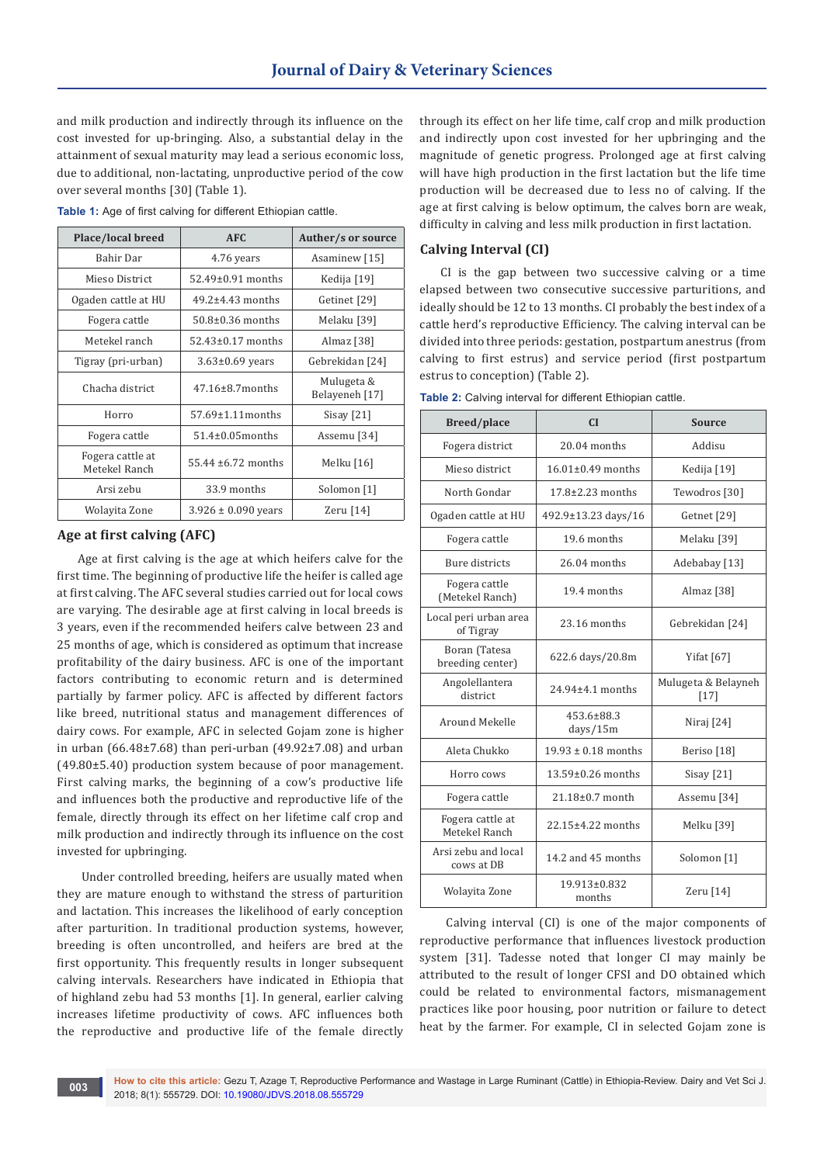and milk production and indirectly through its influence on the cost invested for up-bringing. Also, a substantial delay in the attainment of sexual maturity may lead a serious economic loss, due to additional, non-lactating, unproductive period of the cow over several months [30] (Table 1).

| Place/local breed                 | AFC                     | Auther/s or source           |
|-----------------------------------|-------------------------|------------------------------|
| Bahir Dar                         | 4.76 years              | Asaminew [15]                |
| Mieso District                    | $52.49\pm0.91$ months   | Kedija [19]                  |
| Ogaden cattle at HU               | $49.2\pm4.43$ months    | Getinet [29]                 |
| Fogera cattle                     | $50.8\pm0.36$ months    | Melaku [39]                  |
| Metekel ranch                     | $52.43\pm0.17$ months   | Almaz [38]                   |
| Tigray (pri-urban)                | $3.63\pm0.69$ years     | Gebrekidan [24]              |
| Chacha district                   | $47.16 \pm 8.7$ months  | Mulugeta &<br>Belayeneh [17] |
| Horro                             | $57.69 \pm 1.11$ months | Sisay $[21]$                 |
| Fogera cattle                     | $51.4\pm0.05$ months    | Assemu [34]                  |
| Fogera cattle at<br>Metekel Ranch | $55.44 \pm 6.72$ months | Melku [16]                   |
| Arsi zebu                         | 33.9 months             | Solomon [1]                  |
| Wolayita Zone                     | $3.926 \pm 0.090$ years | Zeru [14]                    |

**Table 1:** Age of first calving for different Ethiopian cattle.

## **Age at first calving (AFC)**

Age at first calving is the age at which heifers calve for the first time. The beginning of productive life the heifer is called age at first calving. The AFC several studies carried out for local cows are varying. The desirable age at first calving in local breeds is 3 years, even if the recommended heifers calve between 23 and 25 months of age, which is considered as optimum that increase profitability of the dairy business. AFC is one of the important factors contributing to economic return and is determined partially by farmer policy. AFC is affected by different factors like breed, nutritional status and management differences of dairy cows. For example, AFC in selected Gojam zone is higher in urban (66.48±7.68) than peri-urban (49.92±7.08) and urban (49.80±5.40) production system because of poor management. First calving marks, the beginning of a cow's productive life and influences both the productive and reproductive life of the female, directly through its effect on her lifetime calf crop and milk production and indirectly through its influence on the cost invested for upbringing.

 Under controlled breeding, heifers are usually mated when they are mature enough to withstand the stress of parturition and lactation. This increases the likelihood of early conception after parturition. In traditional production systems, however, breeding is often uncontrolled, and heifers are bred at the first opportunity. This frequently results in longer subsequent calving intervals. Researchers have indicated in Ethiopia that of highland zebu had 53 months [1]. In general, earlier calving increases lifetime productivity of cows. AFC influences both the reproductive and productive life of the female directly

through its effect on her life time, calf crop and milk production and indirectly upon cost invested for her upbringing and the magnitude of genetic progress. Prolonged age at first calving will have high production in the first lactation but the life time production will be decreased due to less no of calving. If the age at first calving is below optimum, the calves born are weak, difficulty in calving and less milk production in first lactation.

## **Calving Interval (CI)**

CI is the gap between two successive calving or a time elapsed between two consecutive successive parturitions, and ideally should be 12 to 13 months. CI probably the best index of a cattle herd's reproductive Efficiency. The calving interval can be divided into three periods: gestation, postpartum anestrus (from calving to first estrus) and service period (first postpartum estrus to conception) (Table 2).

| <b>Breed/place</b>                 | CI                      | <b>Source</b>                 |
|------------------------------------|-------------------------|-------------------------------|
| Fogera district                    | 20.04 months            | Addisu                        |
| Mieso district                     | $16.01 \pm 0.49$ months | Kedija [19]                   |
| North Gondar                       | $17.8 \pm 2.23$ months  | Tewodros [30]                 |
| Ogaden cattle at HU                | 492.9±13.23 days/16     | Getnet [29]                   |
| Fogera cattle                      | 19.6 months             | Melaku [39]                   |
| <b>Bure districts</b>              | $26.04$ months          | Adebabay [13]                 |
| Fogera cattle<br>(Metekel Ranch)   | 19.4 months             | Almaz [38]                    |
| Local peri urban area<br>of Tigray | 23.16 months            | Gebrekidan [24]               |
| Boran (Tatesa<br>breeding center)  | 622.6 days/20.8m        | Yifat <sup>[67]</sup>         |
| Angolellantera<br>district         | 24.94±4.1 months        | Mulugeta & Belayneh<br>$[17]$ |
| Around Mekelle                     | 453.6±88.3<br>days/15m  | Niraj [24]                    |
| Aleta Chukko                       | $19.93 \pm 0.18$ months | Beriso [18]                   |
| Horro cows                         | 13.59±0.26 months       | Sisay $[21]$                  |
| Fogera cattle                      | $21.18 \pm 0.7$ month   | Assemu <sup>[34]</sup>        |
| Fogera cattle at<br>Metekel Ranch  | 22.15±4.22 months       | Melku [39]                    |
| Arsi zebu and local<br>cows at DB  | 14.2 and 45 months      | Solomon [1]                   |
| Wolayita Zone                      | 19.913±0.832<br>months  | Zeru [14]                     |

**Table 2:** Calving interval for different Ethiopian cattle.

 Calving interval (CI) is one of the major components of reproductive performance that influences livestock production system [31]. Tadesse noted that longer CI may mainly be attributed to the result of longer CFSI and DO obtained which could be related to environmental factors, mismanagement practices like poor housing, poor nutrition or failure to detect heat by the farmer. For example, CI in selected Gojam zone is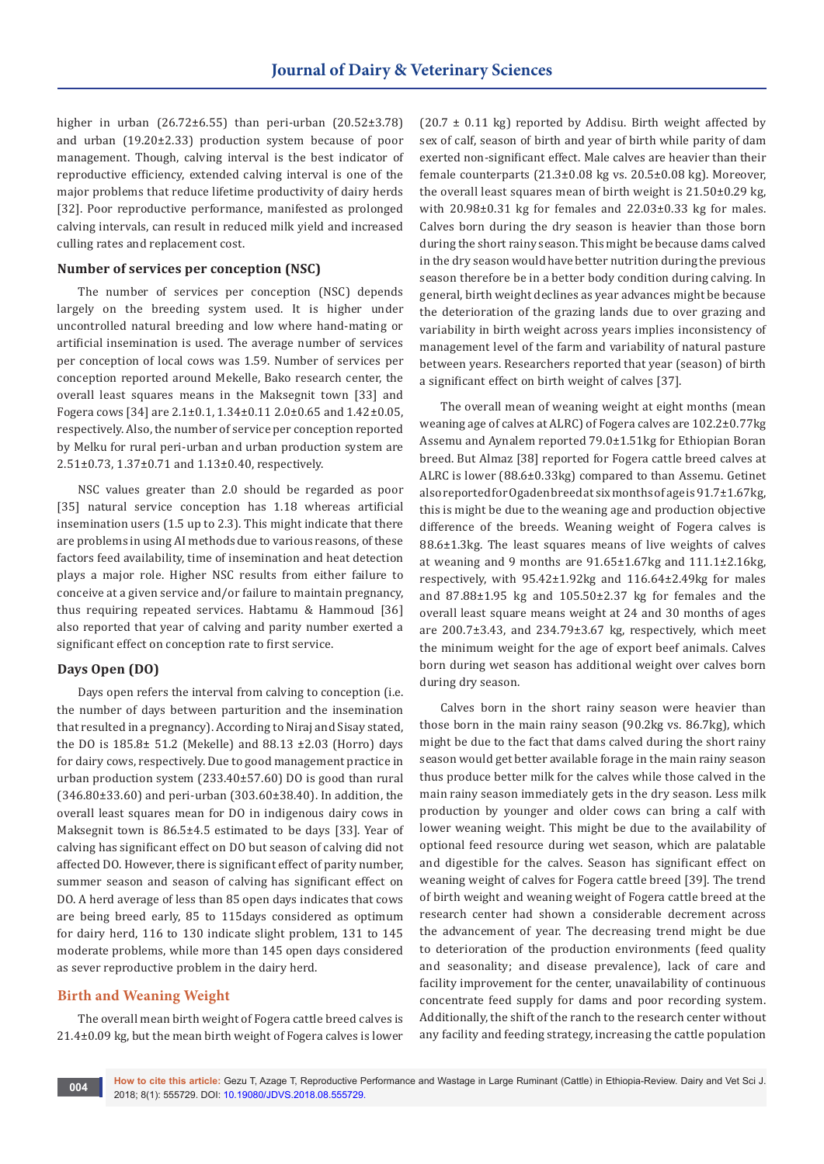higher in urban (26.72±6.55) than peri-urban (20.52±3.78) and urban (19.20±2.33) production system because of poor management. Though, calving interval is the best indicator of reproductive efficiency, extended calving interval is one of the major problems that reduce lifetime productivity of dairy herds [32]. Poor reproductive performance, manifested as prolonged calving intervals, can result in reduced milk yield and increased culling rates and replacement cost.

## **Number of services per conception (NSC)**

The number of services per conception (NSC) depends largely on the breeding system used. It is higher under uncontrolled natural breeding and low where hand-mating or artificial insemination is used. The average number of services per conception of local cows was 1.59. Number of services per conception reported around Mekelle, Bako research center, the overall least squares means in the Maksegnit town [33] and Fogera cows [34] are 2.1±0.1, 1.34±0.11 2.0±0.65 and 1.42±0.05, respectively. Also, the number of service per conception reported by Melku for rural peri-urban and urban production system are 2.51±0.73, 1.37±0.71 and 1.13±0.40, respectively.

NSC values greater than 2.0 should be regarded as poor [35] natural service conception has 1.18 whereas artificial insemination users (1.5 up to 2.3). This might indicate that there are problems in using AI methods due to various reasons, of these factors feed availability, time of insemination and heat detection plays a major role. Higher NSC results from either failure to conceive at a given service and/or failure to maintain pregnancy, thus requiring repeated services. Habtamu & Hammoud [36] also reported that year of calving and parity number exerted a significant effect on conception rate to first service.

## **Days Open (DO)**

Days open refers the interval from calving to conception (i.e. the number of days between parturition and the insemination that resulted in a pregnancy). According to Niraj and Sisay stated, the DO is 185.8± 51.2 (Mekelle) and 88.13 ±2.03 (Horro) days for dairy cows, respectively. Due to good management practice in urban production system (233.40±57.60) DO is good than rural (346.80±33.60) and peri-urban (303.60±38.40). In addition, the overall least squares mean for DO in indigenous dairy cows in Maksegnit town is 86.5±4.5 estimated to be days [33]. Year of calving has significant effect on DO but season of calving did not affected DO. However, there is significant effect of parity number, summer season and season of calving has significant effect on DO. A herd average of less than 85 open days indicates that cows are being breed early, 85 to 115days considered as optimum for dairy herd, 116 to 130 indicate slight problem, 131 to 145 moderate problems, while more than 145 open days considered as sever reproductive problem in the dairy herd.

## **Birth and Weaning Weight**

The overall mean birth weight of Fogera cattle breed calves is 21.4±0.09 kg, but the mean birth weight of Fogera calves is lower

 $(20.7 \pm 0.11 \text{ kg})$  reported by Addisu. Birth weight affected by sex of calf, season of birth and year of birth while parity of dam exerted non-significant effect. Male calves are heavier than their female counterparts (21.3±0.08 kg vs. 20.5±0.08 kg). Moreover, the overall least squares mean of birth weight is 21.50±0.29 kg, with 20.98±0.31 kg for females and 22.03±0.33 kg for males. Calves born during the dry season is heavier than those born during the short rainy season. This might be because dams calved in the dry season would have better nutrition during the previous season therefore be in a better body condition during calving. In general, birth weight declines as year advances might be because the deterioration of the grazing lands due to over grazing and variability in birth weight across years implies inconsistency of management level of the farm and variability of natural pasture between years. Researchers reported that year (season) of birth a significant effect on birth weight of calves [37].

The overall mean of weaning weight at eight months (mean weaning age of calves at ALRC) of Fogera calves are 102.2±0.77kg Assemu and Aynalem reported 79.0±1.51kg for Ethiopian Boran breed. But Almaz [38] reported for Fogera cattle breed calves at ALRC is lower (88.6±0.33kg) compared to than Assemu. Getinet also reported for Ogaden breed at six months of age is 91.7±1.67kg, this is might be due to the weaning age and production objective difference of the breeds. Weaning weight of Fogera calves is 88.6±1.3kg. The least squares means of live weights of calves at weaning and 9 months are 91.65±1.67kg and 111.1±2.16kg, respectively, with 95.42±1.92kg and 116.64±2.49kg for males and 87.88±1.95 kg and 105.50±2.37 kg for females and the overall least square means weight at 24 and 30 months of ages are 200.7±3.43, and 234.79±3.67 kg, respectively, which meet the minimum weight for the age of export beef animals. Calves born during wet season has additional weight over calves born during dry season.

Calves born in the short rainy season were heavier than those born in the main rainy season (90.2kg vs. 86.7kg), which might be due to the fact that dams calved during the short rainy season would get better available forage in the main rainy season thus produce better milk for the calves while those calved in the main rainy season immediately gets in the dry season. Less milk production by younger and older cows can bring a calf with lower weaning weight. This might be due to the availability of optional feed resource during wet season, which are palatable and digestible for the calves. Season has significant effect on weaning weight of calves for Fogera cattle breed [39]. The trend of birth weight and weaning weight of Fogera cattle breed at the research center had shown a considerable decrement across the advancement of year. The decreasing trend might be due to deterioration of the production environments (feed quality and seasonality; and disease prevalence), lack of care and facility improvement for the center, unavailability of continuous concentrate feed supply for dams and poor recording system. Additionally, the shift of the ranch to the research center without any facility and feeding strategy, increasing the cattle population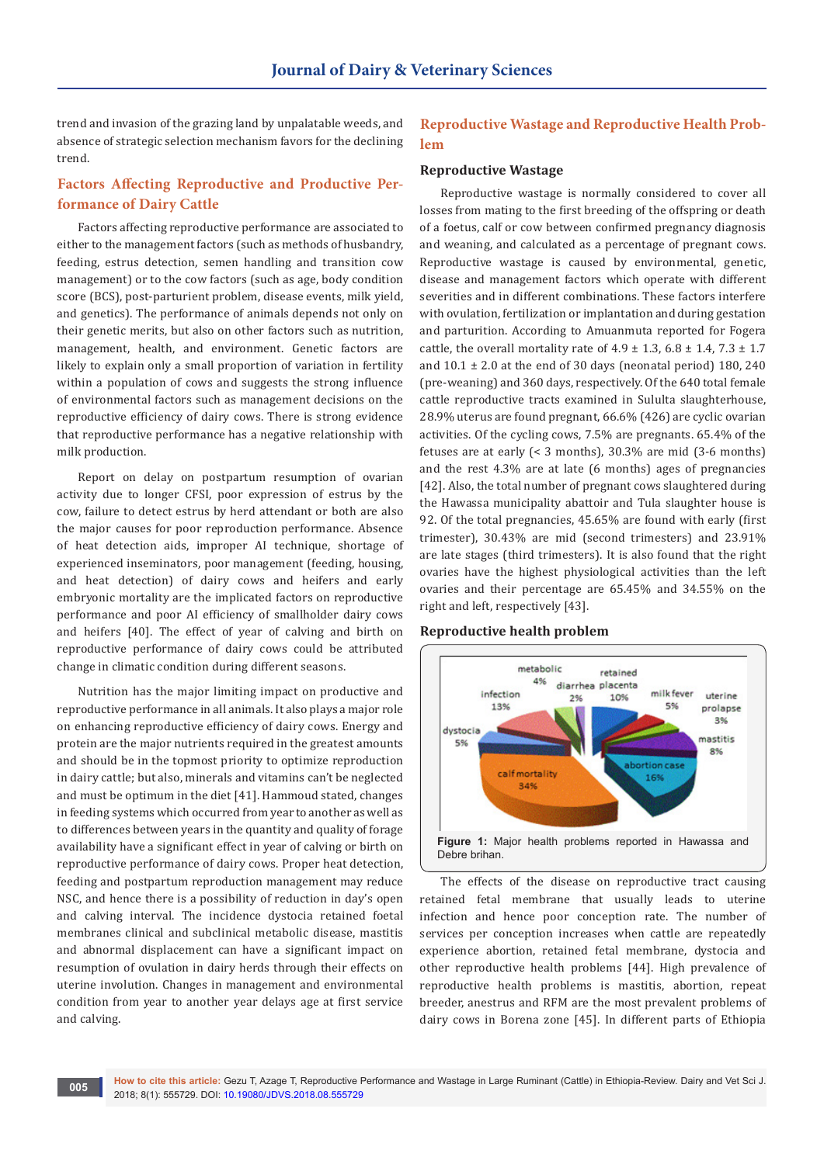trend and invasion of the grazing land by unpalatable weeds, and absence of strategic selection mechanism favors for the declining trend.

## **Factors Affecting Reproductive and Productive Performance of Dairy Cattle**

Factors affecting reproductive performance are associated to either to the management factors (such as methods of husbandry, feeding, estrus detection, semen handling and transition cow management) or to the cow factors (such as age, body condition score (BCS), post-parturient problem, disease events, milk yield, and genetics). The performance of animals depends not only on their genetic merits, but also on other factors such as nutrition, management, health, and environment. Genetic factors are likely to explain only a small proportion of variation in fertility within a population of cows and suggests the strong influence of environmental factors such as management decisions on the reproductive efficiency of dairy cows. There is strong evidence that reproductive performance has a negative relationship with milk production.

Report on delay on postpartum resumption of ovarian activity due to longer CFSI, poor expression of estrus by the cow, failure to detect estrus by herd attendant or both are also the major causes for poor reproduction performance. Absence of heat detection aids, improper AI technique, shortage of experienced inseminators, poor management (feeding, housing, and heat detection) of dairy cows and heifers and early embryonic mortality are the implicated factors on reproductive performance and poor AI efficiency of smallholder dairy cows and heifers [40]. The effect of year of calving and birth on reproductive performance of dairy cows could be attributed change in climatic condition during different seasons.

Nutrition has the major limiting impact on productive and reproductive performance in all animals. It also plays a major role on enhancing reproductive efficiency of dairy cows. Energy and protein are the major nutrients required in the greatest amounts and should be in the topmost priority to optimize reproduction in dairy cattle; but also, minerals and vitamins can't be neglected and must be optimum in the diet [41]. Hammoud stated, changes in feeding systems which occurred from year to another as well as to differences between years in the quantity and quality of forage availability have a significant effect in year of calving or birth on reproductive performance of dairy cows. Proper heat detection, feeding and postpartum reproduction management may reduce NSC, and hence there is a possibility of reduction in day's open and calving interval. The incidence dystocia retained foetal membranes clinical and subclinical metabolic disease, mastitis and abnormal displacement can have a significant impact on resumption of ovulation in dairy herds through their effects on uterine involution. Changes in management and environmental condition from year to another year delays age at first service and calving.

# **Reproductive Wastage and Reproductive Health Problem**

## **Reproductive Wastage**

Reproductive wastage is normally considered to cover all losses from mating to the first breeding of the offspring or death of a foetus, calf or cow between confirmed pregnancy diagnosis and weaning, and calculated as a percentage of pregnant cows. Reproductive wastage is caused by environmental, genetic, disease and management factors which operate with different severities and in different combinations. These factors interfere with ovulation, fertilization or implantation and during gestation and parturition. According to Amuanmuta reported for Fogera cattle, the overall mortality rate of  $4.9 \pm 1.3$ ,  $6.8 \pm 1.4$ ,  $7.3 \pm 1.7$ and  $10.1 \pm 2.0$  at the end of 30 days (neonatal period) 180, 240 (pre-weaning) and 360 days, respectively. Of the 640 total female cattle reproductive tracts examined in Sululta slaughterhouse, 28.9% uterus are found pregnant, 66.6% (426) are cyclic ovarian activities. Of the cycling cows, 7.5% are pregnants. 65.4% of the fetuses are at early (< 3 months), 30.3% are mid (3-6 months) and the rest 4.3% are at late (6 months) ages of pregnancies [42]. Also, the total number of pregnant cows slaughtered during the Hawassa municipality abattoir and Tula slaughter house is 92. Of the total pregnancies, 45.65% are found with early (first trimester), 30.43% are mid (second trimesters) and 23.91% are late stages (third trimesters). It is also found that the right ovaries have the highest physiological activities than the left ovaries and their percentage are 65.45% and 34.55% on the right and left, respectively [43].

#### **Reproductive health problem**



The effects of the disease on reproductive tract causing retained fetal membrane that usually leads to uterine infection and hence poor conception rate. The number of services per conception increases when cattle are repeatedly experience abortion, retained fetal membrane, dystocia and other reproductive health problems [44]. High prevalence of reproductive health problems is mastitis, abortion, repeat breeder, anestrus and RFM are the most prevalent problems of dairy cows in Borena zone [45]. In different parts of Ethiopia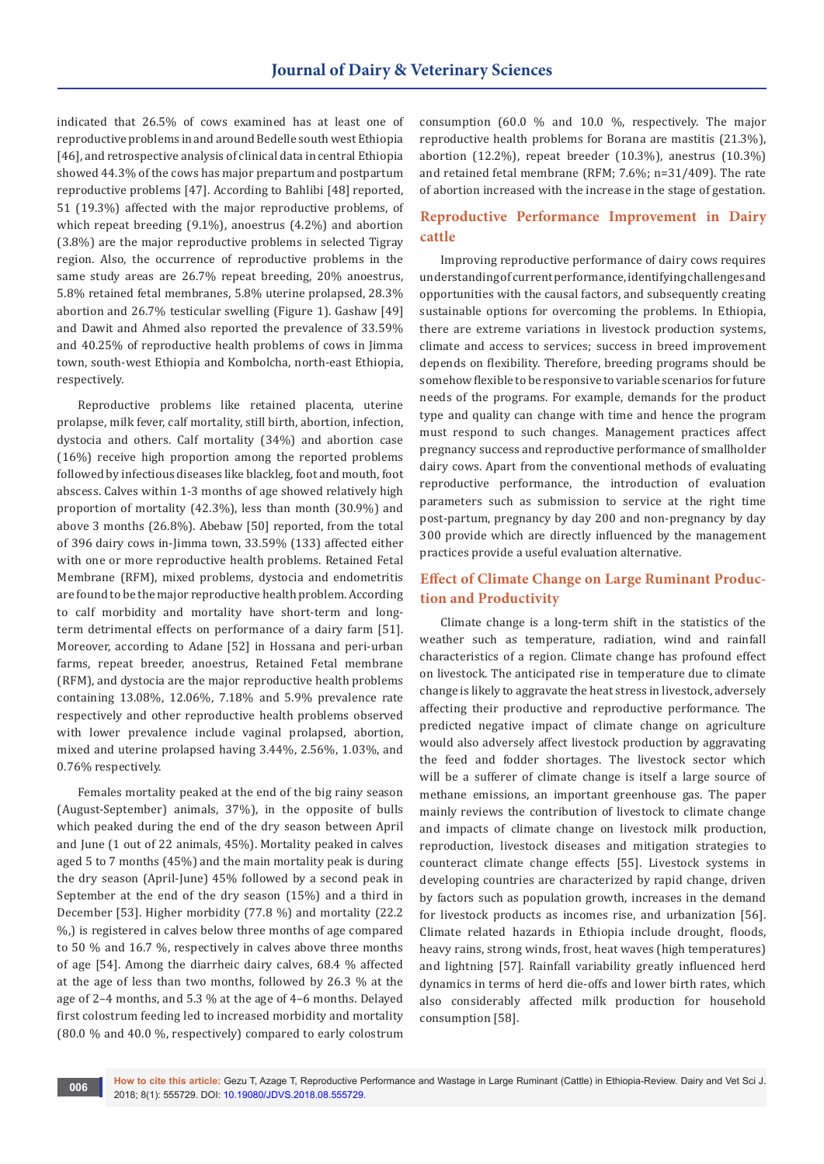indicated that 26.5% of cows examined has at least one of reproductive problems in and around Bedelle south west Ethiopia [46], and retrospective analysis of clinical data in central Ethiopia showed 44.3% of the cows has major prepartum and postpartum reproductive problems [47]. According to Bahlibi [48] reported, 51 (19.3%) affected with the major reproductive problems, of which repeat breeding (9.1%), anoestrus (4.2%) and abortion (3.8%) are the major reproductive problems in selected Tigray region. Also, the occurrence of reproductive problems in the same study areas are 26.7% repeat breeding, 20% anoestrus, 5.8% retained fetal membranes, 5.8% uterine prolapsed, 28.3% abortion and 26.7% testicular swelling (Figure 1). Gashaw [49] and Dawit and Ahmed also reported the prevalence of 33.59% and 40.25% of reproductive health problems of cows in Jimma town, south-west Ethiopia and Kombolcha, north-east Ethiopia, respectively.

Reproductive problems like retained placenta, uterine prolapse, milk fever, calf mortality, still birth, abortion, infection, dystocia and others. Calf mortality (34%) and abortion case (16%) receive high proportion among the reported problems followed by infectious diseases like blackleg, foot and mouth, foot abscess. Calves within 1-3 months of age showed relatively high proportion of mortality (42.3%), less than month (30.9%) and above 3 months (26.8%). Abebaw [50] reported, from the total of 396 dairy cows in-Jimma town, 33.59% (133) affected either with one or more reproductive health problems. Retained Fetal Membrane (RFM), mixed problems, dystocia and endometritis are found to be the major reproductive health problem. According to calf morbidity and mortality have short-term and longterm detrimental effects on performance of a dairy farm [51]. Moreover, according to Adane [52] in Hossana and peri-urban farms, repeat breeder, anoestrus, Retained Fetal membrane (RFM), and dystocia are the major reproductive health problems containing 13.08%, 12.06%, 7.18% and 5.9% prevalence rate respectively and other reproductive health problems observed with lower prevalence include vaginal prolapsed, abortion, mixed and uterine prolapsed having 3.44%, 2.56%, 1.03%, and 0.76% respectively.

Females mortality peaked at the end of the big rainy season (August-September) animals, 37%), in the opposite of bulls which peaked during the end of the dry season between April and June (1 out of 22 animals, 45%). Mortality peaked in calves aged 5 to 7 months (45%) and the main mortality peak is during the dry season (April-June) 45% followed by a second peak in September at the end of the dry season (15%) and a third in December [53]. Higher morbidity (77.8 %) and mortality (22.2 %,) is registered in calves below three months of age compared to 50 % and 16.7 %, respectively in calves above three months of age [54]. Among the diarrheic dairy calves, 68.4 % affected at the age of less than two months, followed by 26.3 % at the age of 2–4 months, and 5.3 % at the age of 4–6 months. Delayed first colostrum feeding led to increased morbidity and mortality (80.0 % and 40.0 %, respectively) compared to early colostrum

consumption (60.0 % and 10.0 %, respectively. The major reproductive health problems for Borana are mastitis (21.3%), abortion (12.2%), repeat breeder (10.3%), anestrus (10.3%) and retained fetal membrane (RFM; 7.6%; n=31/409). The rate of abortion increased with the increase in the stage of gestation.

## **Reproductive Performance Improvement in Dairy cattle**

Improving reproductive performance of dairy cows requires understanding of current performance, identifying challenges and opportunities with the causal factors, and subsequently creating sustainable options for overcoming the problems. In Ethiopia, there are extreme variations in livestock production systems, climate and access to services; success in breed improvement depends on flexibility. Therefore, breeding programs should be somehow flexible to be responsive to variable scenarios for future needs of the programs. For example, demands for the product type and quality can change with time and hence the program must respond to such changes. Management practices affect pregnancy success and reproductive performance of smallholder dairy cows. Apart from the conventional methods of evaluating reproductive performance, the introduction of evaluation parameters such as submission to service at the right time post-partum, pregnancy by day 200 and non-pregnancy by day 300 provide which are directly influenced by the management practices provide a useful evaluation alternative.

# **Effect of Climate Change on Large Ruminant Production and Productivity**

Climate change is a long-term shift in the statistics of the weather such as temperature, radiation, wind and rainfall characteristics of a region. Climate change has profound effect on livestock. The anticipated rise in temperature due to climate change is likely to aggravate the heat stress in livestock, adversely affecting their productive and reproductive performance. The predicted negative impact of climate change on agriculture would also adversely affect livestock production by aggravating the feed and fodder shortages. The livestock sector which will be a sufferer of climate change is itself a large source of methane emissions, an important greenhouse gas. The paper mainly reviews the contribution of livestock to climate change and impacts of climate change on livestock milk production, reproduction, livestock diseases and mitigation strategies to counteract climate change effects [55]. Livestock systems in developing countries are characterized by rapid change, driven by factors such as population growth, increases in the demand for livestock products as incomes rise, and urbanization [56]. Climate related hazards in Ethiopia include drought, floods, heavy rains, strong winds, frost, heat waves (high temperatures) and lightning [57]. Rainfall variability greatly influenced herd dynamics in terms of herd die-offs and lower birth rates, which also considerably affected milk production for household consumption [58].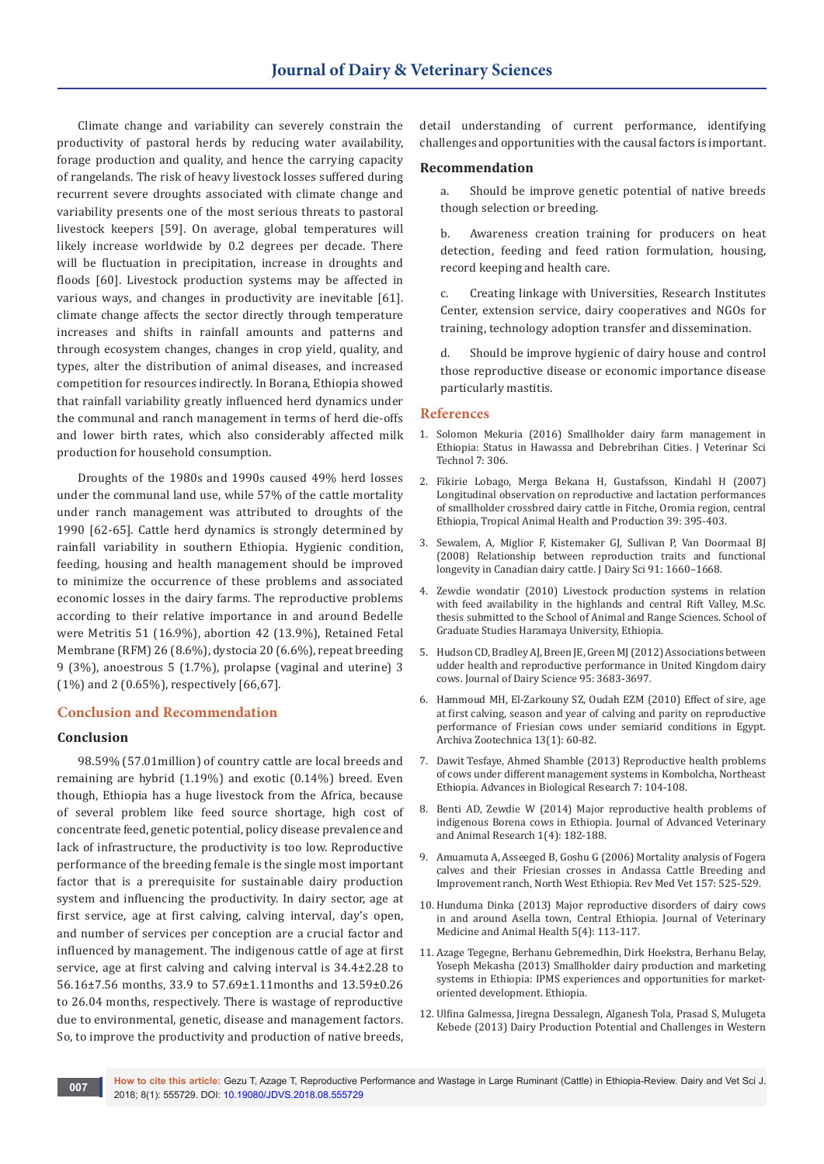Climate change and variability can severely constrain the productivity of pastoral herds by reducing water availability, forage production and quality, and hence the carrying capacity of rangelands. The risk of heavy livestock losses suffered during recurrent severe droughts associated with climate change and variability presents one of the most serious threats to pastoral livestock keepers [59]. On average, global temperatures will likely increase worldwide by 0.2 degrees per decade. There will be fluctuation in precipitation, increase in droughts and floods [60]. Livestock production systems may be affected in various ways, and changes in productivity are inevitable [61]. climate change affects the sector directly through temperature increases and shifts in rainfall amounts and patterns and through ecosystem changes, changes in crop yield, quality, and types, alter the distribution of animal diseases, and increased competition for resources indirectly. In Borana, Ethiopia showed that rainfall variability greatly influenced herd dynamics under the communal and ranch management in terms of herd die-offs and lower birth rates, which also considerably affected milk production for household consumption.

Droughts of the 1980s and 1990s caused 49% herd losses under the communal land use, while 57% of the cattle mortality under ranch management was attributed to droughts of the 1990 [62-65]. Cattle herd dynamics is strongly determined by rainfall variability in southern Ethiopia. Hygienic condition, feeding, housing and health management should be improved to minimize the occurrence of these problems and associated economic losses in the dairy farms. The reproductive problems according to their relative importance in and around Bedelle were Metritis 51 (16.9%), abortion 42 (13.9%), Retained Fetal Membrane (RFM) 26 (8.6%), dystocia 20 (6.6%), repeat breeding 9 (3%), anoestrous 5 (1.7%), prolapse (vaginal and uterine) 3 (1%) and 2 (0.65%), respectively [66,67].

## **Conclusion and Recommendation**

## **Conclusion**

98.59% (57.01million) of country cattle are local breeds and remaining are hybrid (1.19%) and exotic (0.14%) breed. Even though, Ethiopia has a huge livestock from the Africa, because of several problem like feed source shortage, high cost of concentrate feed, genetic potential, policy disease prevalence and lack of infrastructure, the productivity is too low. Reproductive performance of the breeding female is the single most important factor that is a prerequisite for sustainable dairy production system and influencing the productivity. In dairy sector, age at first service, age at first calving, calving interval, day's open, and number of services per conception are a crucial factor and influenced by management. The indigenous cattle of age at first service, age at first calving and calving interval is 34.4±2.28 to 56.16±7.56 months, 33.9 to 57.69±1.11months and 13.59±0.26 to 26.04 months, respectively. There is wastage of reproductive due to environmental, genetic, disease and management factors. So, to improve the productivity and production of native breeds,

detail understanding of current performance, identifying challenges and opportunities with the causal factors is important.

#### **Recommendation**

a. Should be improve genetic potential of native breeds though selection or breeding.

b. Awareness creation training for producers on heat detection, feeding and feed ration formulation, housing, record keeping and health care.

c. Creating linkage with Universities, Research Institutes Center, extension service, dairy cooperatives and NGOs for training, technology adoption transfer and dissemination.

d. Should be improve hygienic of dairy house and control those reproductive disease or economic importance disease particularly mastitis.

#### **References**

- 1. Solomon Mekuria (2016) Smallholder dairy farm management in Ethiopia: Status in Hawassa and Debrebrihan Cities. J Veterinar Sci Technol 7: 306.
- 2. [Fikirie Lobago, Merga Bekana H, Gustafsson, Kindahl H \(2007\)](https://www.ncbi.nlm.nih.gov/pubmed/17966269)  [Longitudinal observation on reproductive and lactation performances](https://www.ncbi.nlm.nih.gov/pubmed/17966269)  [of smallholder crossbred dairy cattle in Fitche, Oromia region, central](https://www.ncbi.nlm.nih.gov/pubmed/17966269)  [Ethiopia, Tropical Animal Health and Production 39: 395-403.](https://www.ncbi.nlm.nih.gov/pubmed/17966269)
- 3. [Sewalem, A, Miglior F, Kistemaker GJ, Sullivan P, Van Doormaal BJ](https://www.ncbi.nlm.nih.gov/pubmed/18349259)  [\(2008\) Relationship between reproduction traits and functional](https://www.ncbi.nlm.nih.gov/pubmed/18349259)  [longevity in Canadian dairy cattle. J Dairy Sci 91: 1660–1668.](https://www.ncbi.nlm.nih.gov/pubmed/18349259)
- 4. Zewdie wondatir (2010) Livestock production systems in relation with feed availability in the highlands and central Rift Valley, M.Sc. thesis submitted to the School of Animal and Range Sciences. School of Graduate Studies Haramaya University, Ethiopia.
- 5. [Hudson CD, Bradley AJ, Breen JE, Green MJ \(2012\) Associations between](https://www.ncbi.nlm.nih.gov/pubmed/22720926)  [udder health and reproductive performance in United Kingdom dairy](https://www.ncbi.nlm.nih.gov/pubmed/22720926)  [cows. Journal of Dairy Science 95: 3683-3697.](https://www.ncbi.nlm.nih.gov/pubmed/22720926)
- 6. Hammoud MH, El-Zarkouny SZ, Oudah EZM (2010) Effect of sire, age at first calving, season and year of calving and parity on reproductive performance of Friesian cows under semiarid conditions in Egypt. Archiva Zootechnica 13(1): 60-82.
- 7. Dawit Tesfaye, Ahmed Shamble (2013) Reproductive health problems of cows under different management systems in Kombolcha, Northeast Ethiopia. Advances in Biological Research 7: 104-108.
- 8. Benti AD, Zewdie W (2014) Major reproductive health problems of indigenous Borena cows in Ethiopia. Journal of Advanced Veterinary and Animal Research 1(4): 182-188.
- 9. Amuamuta A, Asseeged B, Goshu G (2006) Mortality analysis of Fogera calves and their Friesian crosses in Andassa Cattle Breeding and Improvement ranch, North West Ethiopia. Rev Med Vet 157: 525-529.
- 10. [Hunduma Dinka \(2013\) Major reproductive disorders of dairy cows](http://www.academicjournals.org/app/webroot/article/article1379604965_Dinka.pdf)  [in and around Asella town, Central Ethiopia. Journal of Veterinary](http://www.academicjournals.org/app/webroot/article/article1379604965_Dinka.pdf)  [Medicine and Animal Health 5\(4\): 113-117.](http://www.academicjournals.org/app/webroot/article/article1379604965_Dinka.pdf)
- 11. Azage Tegegne, Berhanu Gebremedhin, Dirk Hoekstra, Berhanu Belay, Yoseph Mekasha (2013) Smallholder dairy production and marketing systems in Ethiopia: IPMS experiences and opportunities for marketoriented development. Ethiopia.
- 12. Ulfina Galmessa, Jiregna Dessalegn, Alganesh Tola, Prasad S, Mulugeta Kebede (2013) Dairy Production Potential and Challenges in Western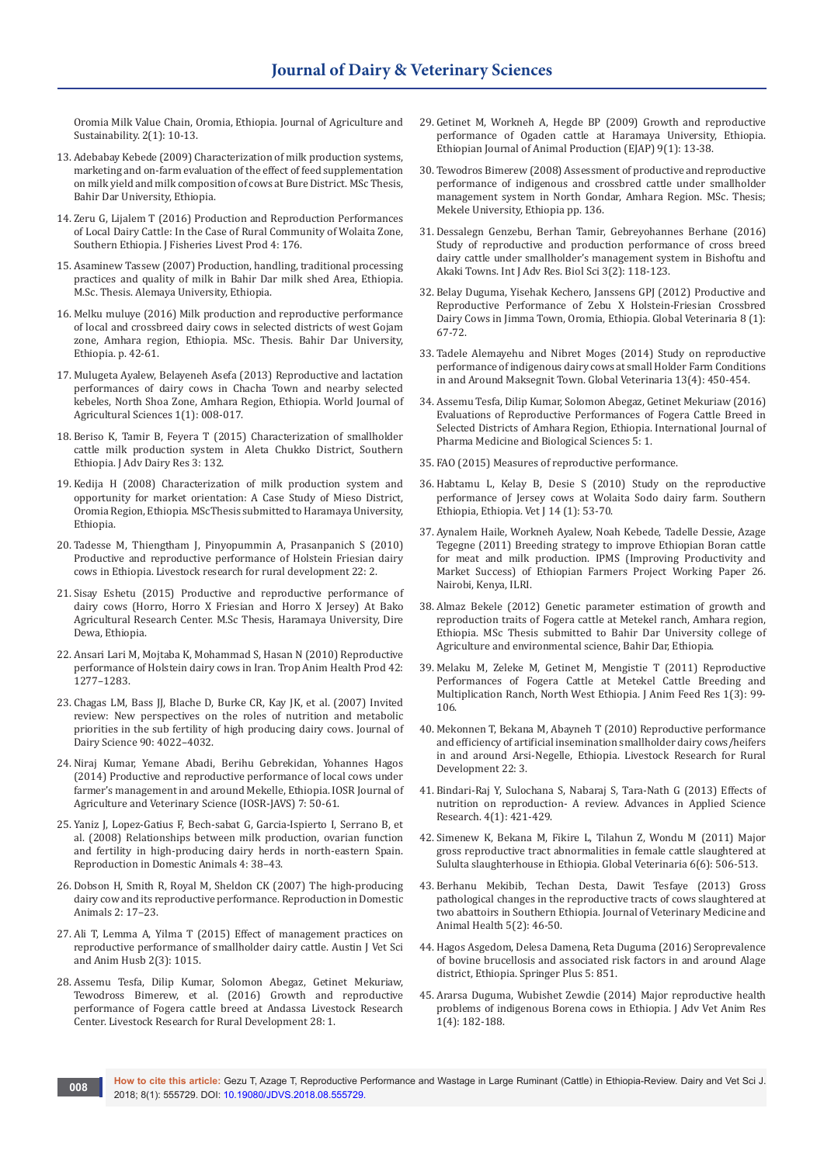Oromia Milk Value Chain, Oromia, Ethiopia. Journal of Agriculture and Sustainability. 2(1): 10-13.

- 13. Adebabay Kebede (2009) Characterization of milk production systems, marketing and on-farm evaluation of the effect of feed supplementation on milk yield and milk composition of cows at Bure District. MSc Thesis, Bahir Dar University, Ethiopia.
- 14. Zeru G, Lijalem T (2016) Production and Reproduction Performances of Local Dairy Cattle: In the Case of Rural Community of Wolaita Zone, Southern Ethiopia. J Fisheries Livest Prod 4: 176.
- 15. Asaminew Tassew (2007) Production, handling, traditional processing practices and quality of milk in Bahir Dar milk shed Area, Ethiopia. M.Sc. Thesis. Alemaya University, Ethiopia.
- 16. Melku muluye (2016) Milk production and reproductive performance of local and crossbreed dairy cows in selected districts of west Gojam zone, Amhara region, Ethiopia. MSc. Thesis. Bahir Dar University, Ethiopia. p. 42-61.
- 17. Mulugeta Ayalew, Belayeneh Asefa (2013) Reproductive and lactation performances of dairy cows in Chacha Town and nearby selected kebeles, North Shoa Zone, Amhara Region, Ethiopia. World Journal of Agricultural Sciences 1(1): 008-017.
- 18. Beriso K, Tamir B, Feyera T (2015) Characterization of smallholder cattle milk production system in Aleta Chukko District, Southern Ethiopia. J Adv Dairy Res 3: 132.
- 19. Kedija H (2008) Characterization of milk production system and opportunity for market orientation: A Case Study of Mieso District, Oromia Region, Ethiopia. MScThesis submitted to Haramaya University, Ethiopia.
- 20. Tadesse M, Thiengtham J, Pinyopummin A, Prasanpanich S (2010) Productive and reproductive performance of Holstein Friesian dairy cows in Ethiopia. Livestock research for rural development 22: 2.
- 21. Sisay Eshetu (2015) Productive and reproductive performance of dairy cows (Horro, Horro X Friesian and Horro X Jersey) At Bako Agricultural Research Center. M.Sc Thesis, Haramaya University, Dire Dewa, Ethiopia.
- 22. Ansari Lari M, Mojtaba K, Mohammad S, Hasan N (2010) Reproductive performance of Holstein dairy cows in Iran. Trop Anim Health Prod 42: 1277–1283.
- 23. [Chagas LM, Bass JJ, Blache D, Burke CR, Kay JK, et al. \(2007\) Invited](https://www.ncbi.nlm.nih.gov/pubmed/17699018)  [review: New perspectives on the roles of nutrition and metabolic](https://www.ncbi.nlm.nih.gov/pubmed/17699018)  [priorities in the sub fertility of high producing dairy cows. Journal of](https://www.ncbi.nlm.nih.gov/pubmed/17699018)  [Dairy Science 90: 4022–4032.](https://www.ncbi.nlm.nih.gov/pubmed/17699018)
- 24. Niraj Kumar, Yemane Abadi, Berihu Gebrekidan, Yohannes Hagos (2014) Productive and reproductive performance of local cows under farmer's management in and around Mekelle, Ethiopia. IOSR Journal of Agriculture and Veterinary Science (IOSR-JAVS) 7: 50-61.
- 25. [Yaniz J, Lopez-Gatius F, Bech-sabat G, Garcia-Ispierto I, Serrano B, et](https://www.ncbi.nlm.nih.gov/pubmed/18803755)  [al. \(2008\) Relationships between milk production, ovarian function](https://www.ncbi.nlm.nih.gov/pubmed/18803755)  [and fertility in high-producing dairy herds in north-eastern Spain.](https://www.ncbi.nlm.nih.gov/pubmed/18803755)  [Reproduction in Domestic Animals 4: 38–43.](https://www.ncbi.nlm.nih.gov/pubmed/18803755)
- 26. [Dobson H, Smith R, Royal M, Sheldon CK \(2007\) The high-producing](https://www.ncbi.nlm.nih.gov/pubmed/17688598)  [dairy cow and its reproductive performance. Reproduction in Domestic](https://www.ncbi.nlm.nih.gov/pubmed/17688598)  [Animals 2: 17–23.](https://www.ncbi.nlm.nih.gov/pubmed/17688598)
- 27. Ali T, Lemma A, Yilma T (2015) Effect of management practices on reproductive performance of smallholder dairy cattle. Austin J Vet Sci and Anim Husb 2(3): 1015.
- 28. Assemu Tesfa, Dilip Kumar, Solomon Abegaz, Getinet Mekuriaw, Tewodross Bimerew, et al. (2016) Growth and reproductive performance of Fogera cattle breed at Andassa Livestock Research Center. Livestock Research for Rural Development 28: 1.
- 29. Getinet M, Workneh A, Hegde BP (2009) Growth and reproductive performance of Ogaden cattle at Haramaya University, Ethiopia. Ethiopian Journal of Animal Production (EJAP) 9(1): 13-38.
- 30. Tewodros Bimerew (2008) Assessment of productive and reproductive performance of indigenous and crossbred cattle under smallholder management system in North Gondar, Amhara Region. MSc. Thesis; Mekele University, Ethiopia pp. 136.
- 31. [Dessalegn Genzebu, Berhan Tamir, Gebreyohannes Berhane \(2016\)](https://www.ijarbs.com/pdfcopy/feb2016/ijarbs18.pdf)  [Study of reproductive and production performance of cross breed](https://www.ijarbs.com/pdfcopy/feb2016/ijarbs18.pdf)  [dairy cattle under smallholder's management system in Bishoftu and](https://www.ijarbs.com/pdfcopy/feb2016/ijarbs18.pdf)  [Akaki Towns. Int J Adv Res. Biol Sci 3\(2\): 118-123.](https://www.ijarbs.com/pdfcopy/feb2016/ijarbs18.pdf)
- 32. Belay Duguma, Yisehak Kechero, Janssens GPJ (2012) Productive and Reproductive Performance of Zebu X Holstein-Friesian Crossbred Dairy Cows in Jimma Town, Oromia, Ethiopia. Global Veterinaria 8 (1): 67-72.
- 33. Tadele Alemayehu and Nibret Moges (2014) Study on reproductive performance of indigenous dairy cows at small Holder Farm Conditions in and Around Maksegnit Town. Global Veterinaria 13(4): 450-454.
- 34. Assemu Tesfa, Dilip Kumar, Solomon Abegaz, Getinet Mekuriaw (2016) Evaluations of Reproductive Performances of Fogera Cattle Breed in Selected Districts of Amhara Region, Ethiopia. International Journal of Pharma Medicine and Biological Sciences 5: 1.
- 35. FAO (2015) Measures of reproductive performance.
- 36. [Habtamu L, Kelay B, Desie S \(2010\) Study on the reproductive](https://www.ajol.info/index.php/evj/article/view/63869)  [performance of Jersey cows at Wolaita Sodo dairy farm. Southern](https://www.ajol.info/index.php/evj/article/view/63869)  [Ethiopia, Ethiopia. Vet J 14 \(1\): 53-70.](https://www.ajol.info/index.php/evj/article/view/63869)
- 37. Aynalem Haile, Workneh Ayalew, Noah Kebede, Tadelle Dessie, Azage Tegegne (2011) Breeding strategy to improve Ethiopian Boran cattle for meat and milk production. IPMS (Improving Productivity and Market Success) of Ethiopian Farmers Project Working Paper 26. Nairobi, Kenya, ILRI.
- 38. Almaz Bekele (2012) Genetic parameter estimation of growth and reproduction traits of Fogera cattle at Metekel ranch, Amhara region, Ethiopia. MSc Thesis submitted to Bahir Dar University college of Agriculture and environmental science, Bahir Dar, Ethiopia.
- 39. Melaku M, Zeleke M, Getinet M, Mengistie T (2011) Reproductive Performances of Fogera Cattle at Metekel Cattle Breeding and Multiplication Ranch, North West Ethiopia. J Anim Feed Res 1(3): 99- 106.
- 40. Mekonnen T, Bekana M, Abayneh T (2010) Reproductive performance and efficiency of artificial insemination smallholder dairy cows/heifers in and around Arsi-Negelle, Ethiopia. Livestock Research for Rural Development 22: 3.
- 41. Bindari-Raj Y, Sulochana S, Nabaraj S, Tara-Nath G (2013) Effects of nutrition on reproduction- A review. Advances in Applied Science Research. 4(1): 421-429.
- 42. Simenew K, Bekana M, Fikire L, Tilahun Z, Wondu M (2011) Major gross reproductive tract abnormalities in female cattle slaughtered at Sululta slaughterhouse in Ethiopia. Global Veterinaria 6(6): 506-513.
- 43. [Berhanu Mekibib, Techan Desta, Dawit Tesfaye \(2013\) Gross](https://academicjournals.org/journal/JVMAH/article-abstract/E1C0B0D3775)  [pathological changes in the reproductive tracts of cows slaughtered at](https://academicjournals.org/journal/JVMAH/article-abstract/E1C0B0D3775)  [two abattoirs in Southern Ethiopia. Journal of Veterinary Medicine and](https://academicjournals.org/journal/JVMAH/article-abstract/E1C0B0D3775)  [Animal Health 5\(2\): 46-50.](https://academicjournals.org/journal/JVMAH/article-abstract/E1C0B0D3775)
- 44. [Hagos Asgedom, Delesa Damena, Reta Duguma \(2016\) Seroprevalence](https://www.ncbi.nlm.nih.gov/pubmed/27386300)  of bovine brucellosis and associated risk factors in and around Alage [district, Ethiopia. Springer Plus 5: 851.](https://www.ncbi.nlm.nih.gov/pubmed/27386300)
- 45. Ararsa Duguma, Wubishet Zewdie (2014) Major reproductive health problems of indigenous Borena cows in Ethiopia. J Adv Vet Anim Res 1(4): 182-188.